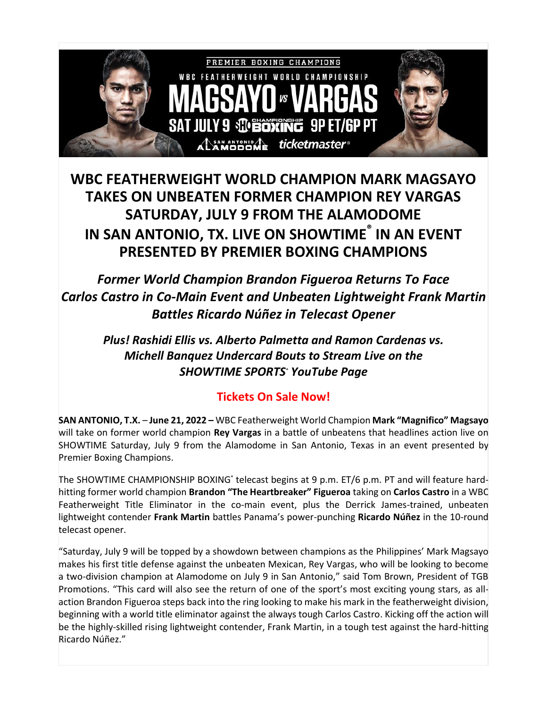

## **WBC FEATHERWEIGHT WORLD CHAMPION MARK MAGSAYO TAKES ON UNBEATEN FORMER CHAMPION REY VARGAS SATURDAY, JULY 9 FROM THE ALAMODOME IN SAN ANTONIO, TX. LIVE ON SHOWTIME ® IN AN EVENT PRESENTED BY PREMIER BOXING CHAMPIONS**

*Former World Champion Brandon Figueroa Returns To Face Carlos Castro in Co-Main Event and Unbeaten Lightweight Frank Martin Battles Ricardo Núñez in Telecast Opener*

*Plus! Rashidi Ellis vs. Alberto Palmetta and Ramon Cardenas vs. Michell Banquez Undercard Bouts to Stream Live on the SHOWTIME SPORTS® YouTube Page*

## **Tickets On Sale Now!**

**SAN ANTONIO, T.X.** – **June 21, 2022 –** WBC Featherweight World Champion **Mark "Magnifico" Magsayo**  will take on former world champion **Rey Vargas** in a battle of unbeatens that headlines action live on SHOWTIME Saturday, July 9 from the Alamodome in San Antonio, Texas in an event presented by Premier Boxing Champions.

The SHOWTIME CHAMPIONSHIP BOXING**®** telecast begins at 9 p.m. ET/6 p.m. PT and will feature hardhitting former world champion **Brandon "The Heartbreaker" Figueroa** taking on **Carlos Castro** in a WBC Featherweight Title Eliminator in the co-main event, plus the Derrick James-trained, unbeaten lightweight contender **Frank Martin** battles Panama's power-punching **Ricardo Núñez** in the 10-round telecast opener.

"Saturday, July 9 will be topped by a showdown between champions as the Philippines' Mark Magsayo makes his first title defense against the unbeaten Mexican, Rey Vargas, who will be looking to become a two-division champion at Alamodome on July 9 in San Antonio," said Tom Brown, President of TGB Promotions. "This card will also see the return of one of the sport's most exciting young stars, as allaction Brandon Figueroa steps back into the ring looking to make his mark in the featherweight division, beginning with a world title eliminator against the always tough Carlos Castro. Kicking off the action will be the highly-skilled rising lightweight contender, Frank Martin, in a tough test against the hard-hitting Ricardo Núñez."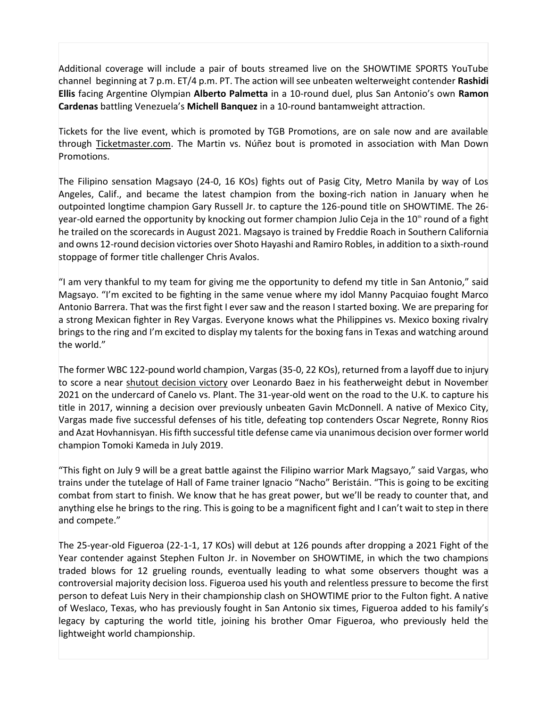Additional coverage will include a pair of bouts streamed live on the SHOWTIME SPORTS YouTube channel beginning at 7 p.m. ET/4 p.m. PT. The action will see unbeaten welterweight contender **Rashidi Ellis** facing Argentine Olympian **Alberto Palmetta** in a 10-round duel, plus San Antonio's own **Ramon Cardenas** battling Venezuela's **Michell Banquez** in a 10-round bantamweight attraction.

Tickets for the live event, which is promoted by TGB Promotions, are on sale now and are available through [Ticketmaster.com.](https://r20.rs6.net/tn.jsp?f=001MOnomBeUst3SjE027lLeivednxSZREAGzEGhPEyPRfFSz2J7ZH8Fjp9DIpRAaZaCt6Wq3hMwbrzUGDlJlaLnJtJweWdMxJl7VHB6iU1duz5gB4b9DAs9-jrtzp6pvFWsU3qoQRopE1NbOQeswSXZ8w==&c=Ffb7hMDiVUatcsHIGr47vIvd5LZFTboHllwmDdkKugRuA2LRSOkn6Q==&ch=vkmHs9gcwp6OQ4jCw43iV9h3RuIRZhkmuKWLwZRYJvmGXbbqdtXGOg==) The Martin vs. Núñez bout is promoted in association with Man Down Promotions.

The Filipino sensation Magsayo (24-0, 16 KOs) fights out of Pasig City, Metro Manila by way of Los Angeles, Calif., and became the latest champion from the boxing-rich nation in January when he outpointed longtime champion Gary Russell Jr. to capture the 126-pound title on SHOWTIME. The 26 year-old earned the opportunity by knocking out former champion Julio Ceja in the 10<sup>th</sup> round of a fight he trailed on the scorecards in August 2021. Magsayo is trained by Freddie Roach in Southern California and owns 12-round decision victories over Shoto Hayashi and Ramiro Robles, in addition to a sixth-round stoppage of former title challenger Chris Avalos.

"I am very thankful to my team for giving me the opportunity to defend my title in San Antonio," said Magsayo. "I'm excited to be fighting in the same venue where my idol Manny Pacquiao fought Marco Antonio Barrera. That was the first fight I ever saw and the reason I started boxing. We are preparing for a strong Mexican fighter in Rey Vargas. Everyone knows what the Philippines vs. Mexico boxing rivalry brings to the ring and I'm excited to display my talents for the boxing fans in Texas and watching around the world."

The former WBC 122-pound world champion, Vargas (35-0, 22 KOs), returned from a layoff due to injury to score a near [shutout decision victory](https://r20.rs6.net/tn.jsp?f=001MOnomBeUst3SjE027lLeivednxSZREAGzEGhPEyPRfFSz2J7ZH8FjnFajMfRHrNdArYvjIyw3OSRz1b0v5vrfL-4MHG1F9g3-Lqq7yHjWAXELCLqN1OZ9id2Q6wd5lfL0vX_eEE0P1TehM-yplQyd0U4x429OMbY2cglAmqv6vunX3_b1pe64koMUdVi2YYH08CVSHMsMvMmWwmFtNHeuhirbQh6hbOaHeXHTFprk3Vx-4Vgt_n4RIL5GcrXO-szOsxXCo_hdsTu0-_a4Om-aCYQWeVOhyc3pV0UdYL1EKsXudsJElnbSmDkW1qbGeUI01MiRRe_21BEZrF2cvmfa4y7vKmqb-N3NWSy6y2owsoRozGJiRS9HmKIKlNnpI42Kg4fNqsvaoN52KTjEUr9wAe1utZYTDT1toEJfhNzf5For3X3FDC7P6GWgPQB3rkrrCV-zhdprH9R91_fwHnbS-UTGlHfc2nfBHzAsUMg80tz9iTOBGUE8Z1fWI8N3ctVLPnmZ91AHUc=&c=Ffb7hMDiVUatcsHIGr47vIvd5LZFTboHllwmDdkKugRuA2LRSOkn6Q==&ch=vkmHs9gcwp6OQ4jCw43iV9h3RuIRZhkmuKWLwZRYJvmGXbbqdtXGOg==) over Leonardo Baez in his featherweight debut in November 2021 on the undercard of Canelo vs. Plant. The 31-year-old went on the road to the U.K. to capture his title in 2017, winning a decision over previously unbeaten Gavin McDonnell. A native of Mexico City, Vargas made five successful defenses of his title, defeating top contenders Oscar Negrete, Ronny Rios and Azat Hovhannisyan. His fifth successful title defense came via unanimous decision over former world champion Tomoki Kameda in July 2019.

"This fight on July 9 will be a great battle against the Filipino warrior Mark Magsayo," said Vargas, who trains under the tutelage of Hall of Fame trainer Ignacio "Nacho" Beristáin. "This is going to be exciting combat from start to finish. We know that he has great power, but we'll be ready to counter that, and anything else he brings to the ring. This is going to be a magnificent fight and I can't wait to step in there and compete."

The 25-year-old Figueroa (22-1-1, 17 KOs) will debut at 126 pounds after dropping a 2021 Fight of the Year contender against Stephen Fulton Jr. in November on SHOWTIME, in which the two champions traded blows for 12 grueling rounds, eventually leading to what some observers thought was a controversial majority decision loss. Figueroa used his youth and relentless pressure to become the first person to defeat Luis Nery in their championship clash on SHOWTIME prior to the Fulton fight. A native of Weslaco, Texas, who has previously fought in San Antonio six times, Figueroa added to his family's legacy by capturing the world title, joining his brother Omar Figueroa, who previously held the lightweight world championship.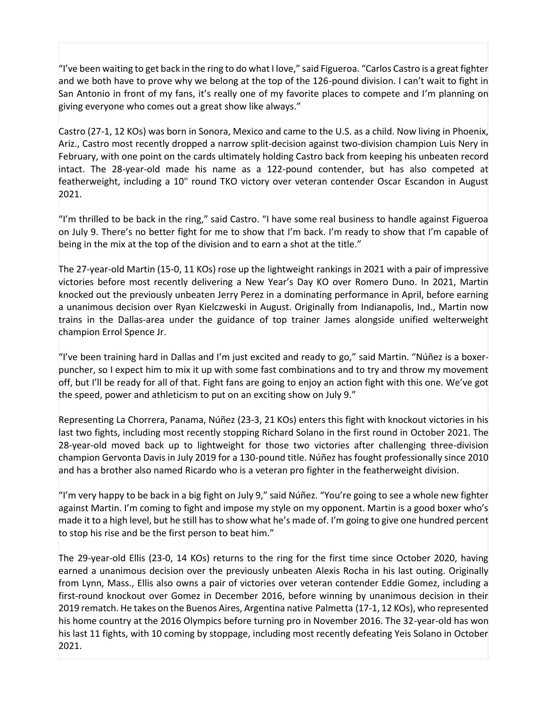"I've been waiting to get back in the ring to do what I love," said Figueroa. "Carlos Castro is a great fighter and we both have to prove why we belong at the top of the 126-pound division. I can't wait to fight in San Antonio in front of my fans, it's really one of my favorite places to compete and I'm planning on giving everyone who comes out a great show like always."

Castro (27-1, 12 KOs) was born in Sonora, Mexico and came to the U.S. as a child. Now living in Phoenix, Ariz., Castro most recently dropped a narrow split-decision against two-division champion Luis Nery in February, with one point on the cards ultimately holding Castro back from keeping his unbeaten record intact. The 28-year-old made his name as a 122-pound contender, but has also competed at featherweight, including a 10<sup>th</sup> round TKO victory over veteran contender Oscar Escandon in August 2021.

"I'm thrilled to be back in the ring," said Castro. "I have some real business to handle against Figueroa on July 9. There's no better fight for me to show that I'm back. I'm ready to show that I'm capable of being in the mix at the top of the division and to earn a shot at the title."

The 27-year-old Martin (15-0, 11 KOs) rose up the lightweight rankings in 2021 with a pair of impressive victories before most recently delivering a New Year's Day KO over Romero Duno. In 2021, Martin knocked out the previously unbeaten Jerry Perez in a dominating performance in April, before earning a unanimous decision over Ryan Kielczweski in August. Originally from Indianapolis, Ind., Martin now trains in the Dallas-area under the guidance of top trainer James alongside unified welterweight champion Errol Spence Jr.

"I've been training hard in Dallas and I'm just excited and ready to go," said Martin. "Núñez is a boxerpuncher, so I expect him to mix it up with some fast combinations and to try and throw my movement off, but I'll be ready for all of that. Fight fans are going to enjoy an action fight with this one. We've got the speed, power and athleticism to put on an exciting show on July 9."

Representing La Chorrera, Panama, Núñez (23-3, 21 KOs) enters this fight with knockout victories in his last two fights, including most recently stopping Richard Solano in the first round in October 2021. The 28-year-old moved back up to lightweight for those two victories after challenging three-division champion Gervonta Davis in July 2019 for a 130-pound title. Núñez has fought professionally since 2010 and has a brother also named Ricardo who is a veteran pro fighter in the featherweight division.

"I'm very happy to be back in a big fight on July 9," said Núñez. "You're going to see a whole new fighter against Martin. I'm coming to fight and impose my style on my opponent. Martin is a good boxer who's made it to a high level, but he still has to show what he's made of. I'm going to give one hundred percent to stop his rise and be the first person to beat him."

The 29-year-old Ellis (23-0, 14 KOs) returns to the ring for the first time since October 2020, having earned a unanimous decision over the previously unbeaten Alexis Rocha in his last outing. Originally from Lynn, Mass., Ellis also owns a pair of victories over veteran contender Eddie Gomez, including a first-round knockout over Gomez in December 2016, before winning by unanimous decision in their 2019 rematch. He takes on the Buenos Aires, Argentina native Palmetta (17-1, 12 KOs), who represented his home country at the 2016 Olympics before turning pro in November 2016. The 32-year-old has won his last 11 fights, with 10 coming by stoppage, including most recently defeating Yeis Solano in October 2021.